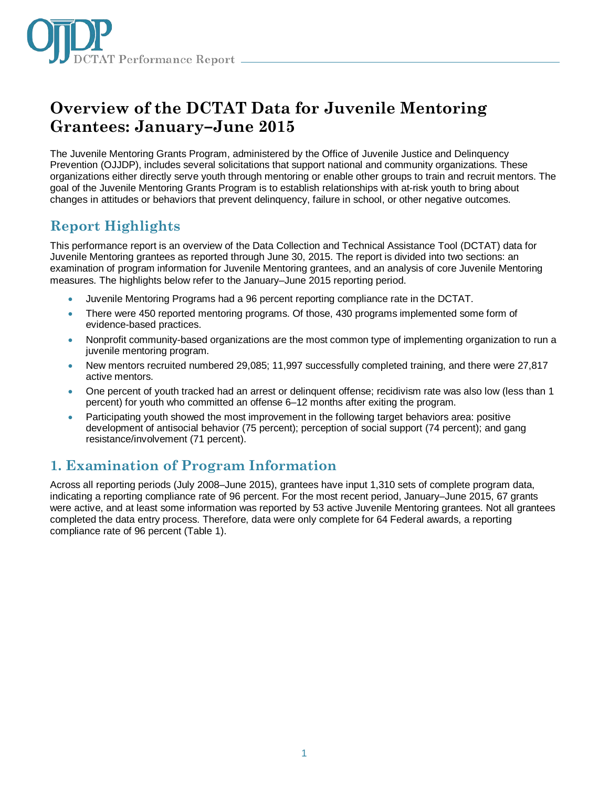

# **Overview of the DCTAT Data for Juvenile Mentoring Grantees: January–June 2015**

The Juvenile Mentoring Grants Program, administered by the Office of Juvenile Justice and Delinquency Prevention (OJJDP), includes several solicitations that support national and community organizations. These organizations either directly serve youth through mentoring or enable other groups to train and recruit mentors. The goal of the Juvenile Mentoring Grants Program is to establish relationships with at-risk youth to bring about changes in attitudes or behaviors that prevent delinquency, failure in school, or other negative outcomes.

# **Report Highlights**

This performance report is an overview of the Data Collection and Technical Assistance Tool (DCTAT) data for Juvenile Mentoring grantees as reported through June 30, 2015. The report is divided into two sections: an examination of program information for Juvenile Mentoring grantees, and an analysis of core Juvenile Mentoring measures. The highlights below refer to the January–June 2015 reporting period.

- Juvenile Mentoring Programs had a 96 percent reporting compliance rate in the DCTAT.
- There were 450 reported mentoring programs. Of those, 430 programs implemented some form of evidence-based practices.
- Nonprofit community-based organizations are the most common type of implementing organization to run a juvenile mentoring program.
- New mentors recruited numbered 29,085; 11,997 successfully completed training, and there were 27,817 active mentors.
- One percent of youth tracked had an arrest or delinquent offense; recidivism rate was also low (less than 1 percent) for youth who committed an offense 6–12 months after exiting the program.
- Participating youth showed the most improvement in the following target behaviors area: positive development of antisocial behavior (75 percent); perception of social support (74 percent); and gang resistance/involvement (71 percent).

# **1. Examination of Program Information**

Across all reporting periods (July 2008–June 2015), grantees have input 1,310 sets of complete program data, indicating a reporting compliance rate of 96 percent. For the most recent period, January–June 2015, 67 grants were active, and at least some information was reported by 53 active Juvenile Mentoring grantees. Not all grantees completed the data entry process. Therefore, data were only complete for 64 Federal awards, a reporting compliance rate of 96 percent (Table 1).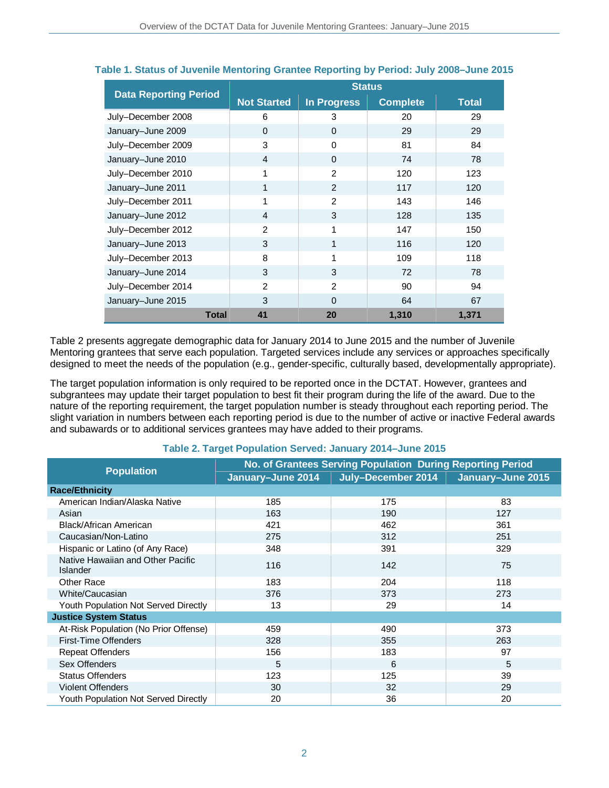|                              | <b>Status</b>      |                    |                 |              |
|------------------------------|--------------------|--------------------|-----------------|--------------|
| <b>Data Reporting Period</b> | <b>Not Started</b> | <b>In Progress</b> | <b>Complete</b> | <b>Total</b> |
| July-December 2008           | 6                  | 3                  | 20              | 29           |
| January-June 2009            | $\Omega$           | $\Omega$           | 29              | 29           |
| July-December 2009           | 3                  | $\Omega$           | 81              | 84           |
| January-June 2010            | $\overline{4}$     | $\Omega$           | 74              | 78           |
| July-December 2010           | 1                  | $\mathcal{P}$      | 120             | 123          |
| January-June 2011            | 1                  | $\mathcal{P}$      | 117             | 120          |
| July-December 2011           | 1                  | $\overline{2}$     | 143             | 146          |
| January-June 2012            | $\overline{4}$     | 3                  | 128             | 135          |
| July-December 2012           | $\mathcal{P}$      | 1                  | 147             | 150          |
| January-June 2013            | 3                  | 1                  | 116             | 120          |
| July-December 2013           | 8                  | 1                  | 109             | 118          |
| January-June 2014            | 3                  | 3                  | 72              | 78           |
| July-December 2014           | 2                  | $\mathcal{P}$      | 90              | 94           |
| January-June 2015            | 3                  | $\Omega$           | 64              | 67           |
| <b>Total</b>                 | 41                 | 20                 | 1,310           | 1,371        |

### **Table 1. Status of Juvenile Mentoring Grantee Reporting by Period: July 2008–June 2015**

Table 2 presents aggregate demographic data for January 2014 to June 2015 and the number of Juvenile Mentoring grantees that serve each population. Targeted services include any services or approaches specifically designed to meet the needs of the population (e.g., gender-specific, culturally based, developmentally appropriate).

The target population information is only required to be reported once in the DCTAT. However, grantees and subgrantees may update their target population to best fit their program during the life of the award. Due to the nature of the reporting requirement, the target population number is steady throughout each reporting period. The slight variation in numbers between each reporting period is due to the number of active or inactive Federal awards and subawards or to additional services grantees may have added to their programs.

| <b>Population</b>                                    | No. of Grantees Serving Population During Reporting Period |                    |                   |  |
|------------------------------------------------------|------------------------------------------------------------|--------------------|-------------------|--|
|                                                      | January-June 2014                                          | July-December 2014 | January-June 2015 |  |
| <b>Race/Ethnicity</b>                                |                                                            |                    |                   |  |
| American Indian/Alaska Native                        | 185                                                        | 175                | 83                |  |
| Asian                                                | 163                                                        | 190                | 127               |  |
| Black/African American                               | 421                                                        | 462                | 361               |  |
| Caucasian/Non-Latino                                 | 275                                                        | 312                | 251               |  |
| Hispanic or Latino (of Any Race)                     | 348                                                        | 391                | 329               |  |
| Native Hawaiian and Other Pacific<br><b>Islander</b> | 116                                                        | 142                | 75                |  |
| Other Race                                           | 183                                                        | 204                | 118               |  |
| White/Caucasian                                      | 376                                                        | 373                | 273               |  |
| Youth Population Not Served Directly                 | 13                                                         | 29                 | 14                |  |
| <b>Justice System Status</b>                         |                                                            |                    |                   |  |
| At-Risk Population (No Prior Offense)                | 459                                                        | 490                | 373               |  |
| First-Time Offenders                                 | 328                                                        | 355                | 263               |  |
| <b>Repeat Offenders</b>                              | 156                                                        | 183                | 97                |  |
| Sex Offenders                                        | 5                                                          | 6                  | 5                 |  |
| <b>Status Offenders</b>                              | 123                                                        | 125                | 39                |  |
| <b>Violent Offenders</b>                             | 30                                                         | 32                 | 29                |  |
| <b>Youth Population Not Served Directly</b>          | 20                                                         | 36                 | 20                |  |

### **Table 2. Target Population Served: January 2014–June 2015**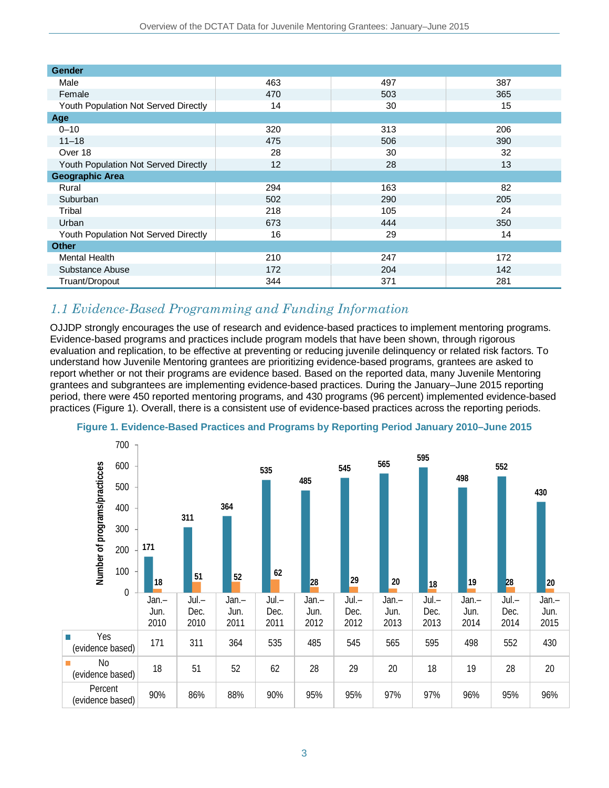| <b>Gender</b>                        |     |     |     |  |  |
|--------------------------------------|-----|-----|-----|--|--|
| Male                                 | 463 | 497 | 387 |  |  |
| Female                               | 470 | 503 | 365 |  |  |
| Youth Population Not Served Directly | 14  | 30  | 15  |  |  |
| Age                                  |     |     |     |  |  |
| $0 - 10$                             | 320 | 313 | 206 |  |  |
| $11 - 18$                            | 475 | 506 | 390 |  |  |
| Over 18                              | 28  | 30  | 32  |  |  |
| Youth Population Not Served Directly | 12  | 28  | 13  |  |  |
| <b>Geographic Area</b>               |     |     |     |  |  |
| Rural                                | 294 | 163 | 82  |  |  |
| Suburban                             | 502 | 290 | 205 |  |  |
| Tribal                               | 218 | 105 | 24  |  |  |
| Urban                                | 673 | 444 | 350 |  |  |
| Youth Population Not Served Directly | 16  | 29  | 14  |  |  |
| <b>Other</b>                         |     |     |     |  |  |
| <b>Mental Health</b>                 | 210 | 247 | 172 |  |  |
| Substance Abuse                      | 172 | 204 | 142 |  |  |
| Truant/Dropout                       | 344 | 371 | 281 |  |  |

### *1.1 Evidence-Based Programming and Funding Information*

OJJDP strongly encourages the use of research and evidence-based practices to implement mentoring programs. Evidence-based programs and practices include program models that have been shown, through rigorous evaluation and replication, to be effective at preventing or reducing juvenile delinquency or related risk factors. To understand how Juvenile Mentoring grantees are prioritizing evidence-based programs, grantees are asked to report whether or not their programs are evidence based. Based on the reported data, many Juvenile Mentoring grantees and subgrantees are implementing evidence-based practices. During the January–June 2015 reporting period, there were 450 reported mentoring programs, and 430 programs (96 percent) implemented evidence-based practices (Figure 1). Overall, there is a consistent use of evidence-based practices across the reporting periods.



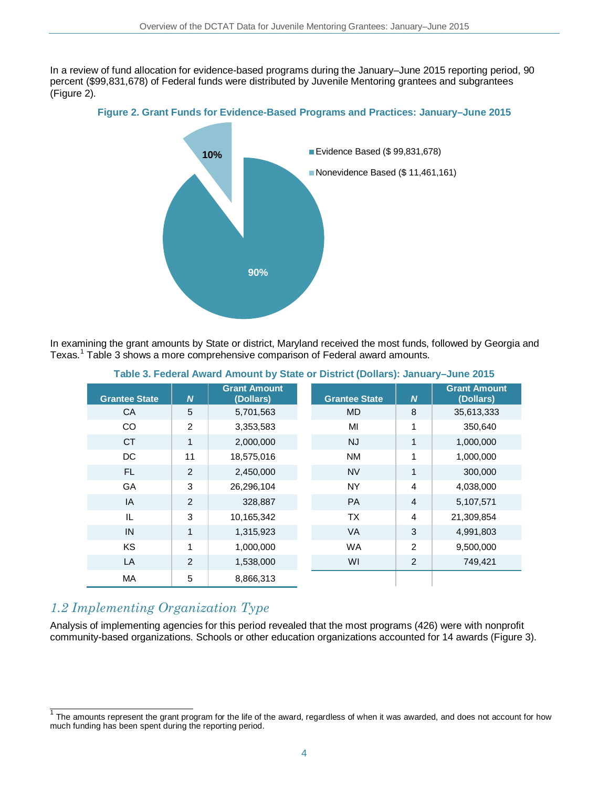In a review of fund allocation for evidence-based programs during the January–June 2015 reporting period, 90 percent (\$99,831,678) of Federal funds were distributed by Juvenile Mentoring grantees and subgrantees (Figure 2).

### **Figure 2. Grant Funds for Evidence-Based Programs and Practices: January–June 2015**



In examining the grant amounts by State or district, Maryland received the most funds, followed by Georgia and Texas. [1](#page-3-0) Table 3 shows a more comprehensive comparison of Federal award amounts.

| <b>Grant Amount</b><br><b>Grant Amount</b> |                |            |                      |                |            |
|--------------------------------------------|----------------|------------|----------------------|----------------|------------|
| <b>Grantee State</b>                       | $\overline{N}$ | (Dollars)  | <b>Grantee State</b> | $\overline{N}$ | (Dollars)  |
| CA                                         | 5              | 5,701,563  | <b>MD</b>            | 8              | 35,613,333 |
| CO                                         | $\mathcal{P}$  | 3,353,583  | MI                   | 1              | 350,640    |
| <b>CT</b>                                  | 1              | 2,000,000  | <b>NJ</b>            | $\mathbf{1}$   | 1,000,000  |
| DC                                         | 11             | 18,575,016 | <b>NM</b>            | 1              | 1,000,000  |
| FL.                                        | 2              | 2,450,000  | <b>NV</b>            | $\mathbf{1}$   | 300,000    |
| GA                                         | 3              | 26,296,104 | <b>NY</b>            | $\overline{4}$ | 4,038,000  |
| IA                                         | 2              | 328,887    | <b>PA</b>            | 4              | 5,107,571  |
| IL                                         | 3              | 10,165,342 | <b>TX</b>            | 4              | 21,309,854 |
| IN                                         | 1              | 1,315,923  | VA                   | 3              | 4,991,803  |
| KS                                         | 1              | 1,000,000  | <b>WA</b>            | $\overline{2}$ | 9,500,000  |
| LA                                         | $\overline{2}$ | 1,538,000  | WI                   | $\overline{2}$ | 749,421    |
| MA                                         | 5              | 8,866,313  |                      |                |            |

**Table 3. Federal Award Amount by State or District (Dollars): January–June 2015** 

### *1.2 Implementing Organization Type*

Analysis of implementing agencies for this period revealed that the most programs (426) were with nonprofit community-based organizations. Schools or other education organizations accounted for 14 awards (Figure 3).

<span id="page-3-0"></span> $1$  The amounts represent the grant program for the life of the award, regardless of when it was awarded, and does not account for how much funding has been spent during the reporting period.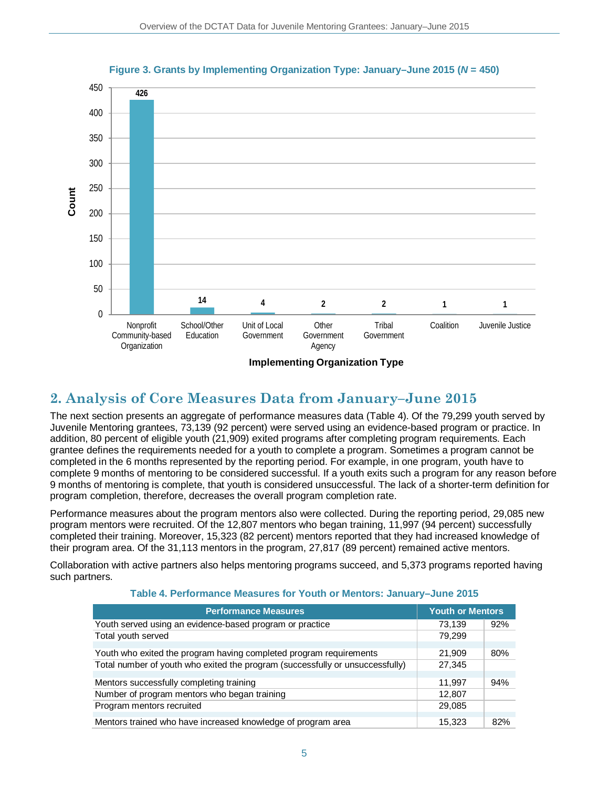

### **Figure 3. Grants by Implementing Organization Type: January–June 2015 (***N* **= 450)**

#### **Implementing Organization Type**

## **2. Analysis of Core Measures Data from January–June 2015**

The next section presents an aggregate of performance measures data (Table 4). Of the 79,299 youth served by Juvenile Mentoring grantees, 73,139 (92 percent) were served using an evidence-based program or practice. In addition, 80 percent of eligible youth (21,909) exited programs after completing program requirements. Each grantee defines the requirements needed for a youth to complete a program. Sometimes a program cannot be completed in the 6 months represented by the reporting period. For example, in one program, youth have to complete 9 months of mentoring to be considered successful. If a youth exits such a program for any reason before 9 months of mentoring is complete, that youth is considered unsuccessful. The lack of a shorter-term definition for program completion, therefore, decreases the overall program completion rate.

Performance measures about the program mentors also were collected. During the reporting period, 29,085 new program mentors were recruited. Of the 12,807 mentors who began training, 11,997 (94 percent) successfully completed their training. Moreover, 15,323 (82 percent) mentors reported that they had increased knowledge of their program area. Of the 31,113 mentors in the program, 27,817 (89 percent) remained active mentors.

Collaboration with active partners also helps mentoring programs succeed, and 5,373 programs reported having such partners.

| <b>Performance Measures</b>                                                   | <b>Youth or Mentors</b> |     |
|-------------------------------------------------------------------------------|-------------------------|-----|
| Youth served using an evidence-based program or practice                      | 73,139                  | 92% |
| Total youth served                                                            | 79,299                  |     |
|                                                                               |                         |     |
| Youth who exited the program having completed program requirements            | 21,909                  | 80% |
| Total number of youth who exited the program (successfully or unsuccessfully) | 27,345                  |     |
|                                                                               |                         |     |
| Mentors successfully completing training                                      | 11.997                  | 94% |
| Number of program mentors who began training                                  | 12,807                  |     |
| Program mentors recruited                                                     | 29,085                  |     |
|                                                                               |                         |     |
| Mentors trained who have increased knowledge of program area                  | 15,323                  | 82% |

#### **Table 4. Performance Measures for Youth or Mentors: January–June 2015**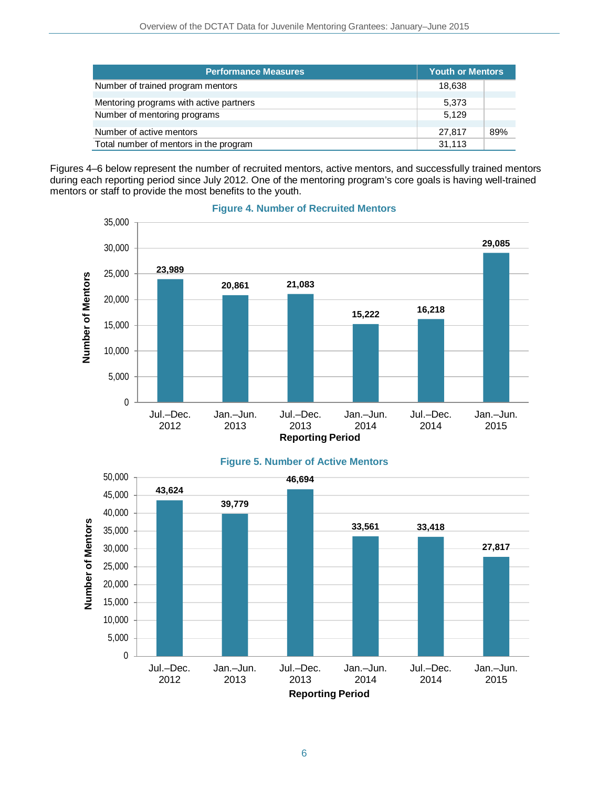| <b>Performance Measures</b>             | <b>Youth or Mentors</b> |     |
|-----------------------------------------|-------------------------|-----|
| Number of trained program mentors       | 18,638                  |     |
| Mentoring programs with active partners | 5,373                   |     |
| Number of mentoring programs            | 5.129                   |     |
| Number of active mentors                | 27.817                  | 89% |
| Total number of mentors in the program  | 31,113                  |     |

Figures 4–6 below represent the number of recruited mentors, active mentors, and successfully trained mentors during each reporting period since July 2012. One of the mentoring program's core goals is having well-trained mentors or staff to provide the most benefits to the youth.



### **Figure 4. Number of Recruited Mentors**

### **Figure 5. Number of Active Mentors**

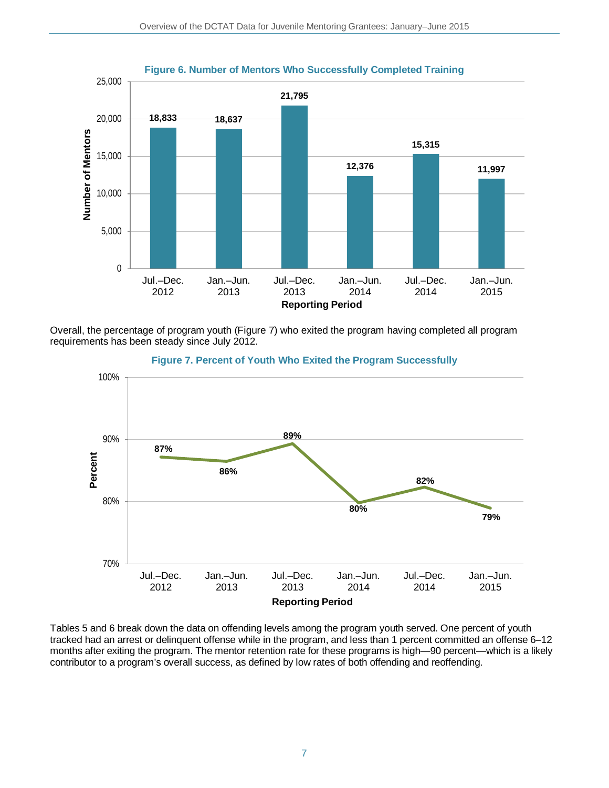

Overall, the percentage of program youth (Figure 7) who exited the program having completed all program requirements has been steady since July 2012.



**Figure 7. Percent of Youth Who Exited the Program Successfully**

Tables 5 and 6 break down the data on offending levels among the program youth served. One percent of youth tracked had an arrest or delinquent offense while in the program, and less than 1 percent committed an offense 6–12 months after exiting the program. The mentor retention rate for these programs is high—90 percent—which is a likely contributor to a program's overall success, as defined by low rates of both offending and reoffending.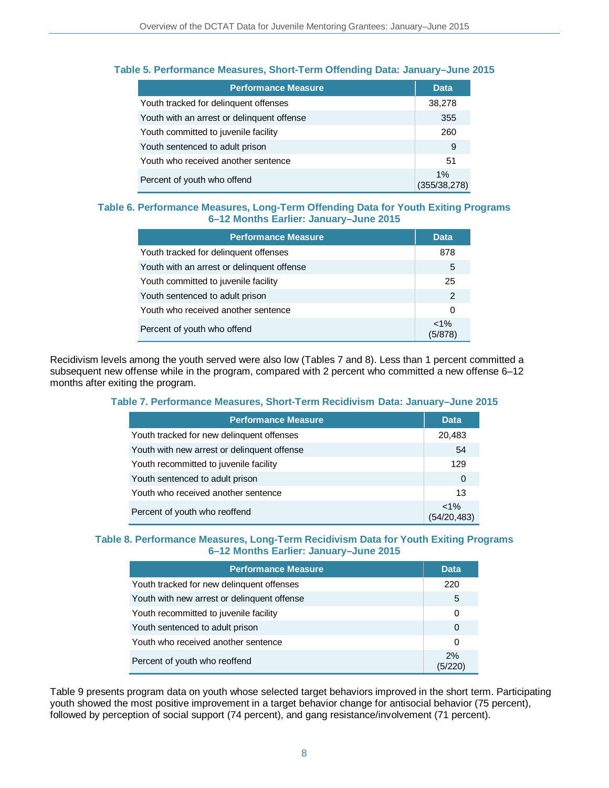| <b>Performance Measure</b>                 | <b>Data</b>           |
|--------------------------------------------|-----------------------|
| Youth tracked for delinquent offenses      | 38,278                |
| Youth with an arrest or delinquent offense | 355                   |
| Youth committed to juvenile facility       | 260                   |
| Youth sentenced to adult prison            | 9                     |
| Youth who received another sentence        | 51                    |
| Percent of youth who offend                | $1\%$<br>(355/38,278) |

### **Table 5. Performance Measures, Short-Term Offending Data: January–June 2015**

### **Table 6. Performance Measures, Long-Term Offending Data for Youth Exiting Programs 6–12 Months Earlier: January–June 2015**

| <b>Performance Measure</b>                 | Data               |
|--------------------------------------------|--------------------|
| Youth tracked for delinguent offenses      | 878                |
| Youth with an arrest or delinguent offense | 5                  |
| Youth committed to juvenile facility       | 25                 |
| Youth sentenced to adult prison            | 2                  |
| Youth who received another sentence        | 0                  |
| Percent of youth who offend                | $< 1\%$<br>(5/878) |

Recidivism levels among the youth served were also low (Tables 7 and 8). Less than 1 percent committed a subsequent new offense while in the program, compared with 2 percent who committed a new offense 6–12 months after exiting the program.

#### **Table 7. Performance Measures, Short-Term Recidivism Data: January–June 2015**

| <b>Performance Measure</b>                  | <b>Data</b>            |
|---------------------------------------------|------------------------|
| Youth tracked for new delinguent offenses   | 20,483                 |
| Youth with new arrest or delinguent offense | 54                     |
| Youth recommitted to juvenile facility      | 129                    |
| Youth sentenced to adult prison             | 0                      |
| Youth who received another sentence         | 13                     |
| Percent of youth who reoffend               | $< 1\%$<br>(54/20,483) |

### **Table 8. Performance Measures, Long-Term Recidivism Data for Youth Exiting Programs 6–12 Months Earlier: January–June 2015**

| <b>Performance Measure</b>                  | Data.    |
|---------------------------------------------|----------|
| Youth tracked for new delinguent offenses   | 220      |
| Youth with new arrest or delinguent offense | 5        |
| Youth recommitted to juvenile facility      | 0        |
| Youth sentenced to adult prison             | $\Omega$ |
| Youth who received another sentence         | ∩        |
| Percent of youth who reoffend               | 2%       |

Table 9 presents program data on youth whose selected target behaviors improved in the short term. Participating youth showed the most positive improvement in a target behavior change for antisocial behavior (75 percent), followed by perception of social support (74 percent), and gang resistance/involvement (71 percent).